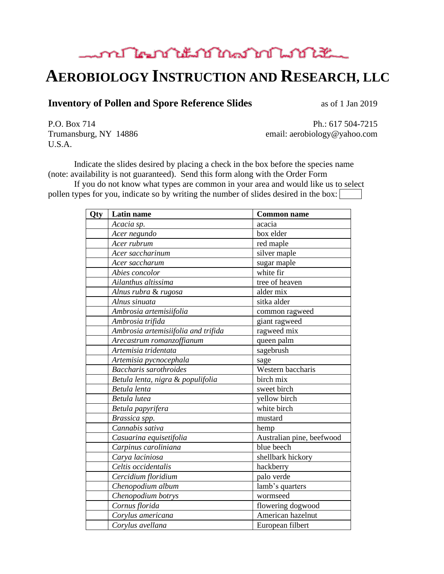### mont les notes of the month of the month of the month of the month of the month of the month of the month of the

# **AEROBIOLOGY INSTRUCTION AND RESEARCH, LLC**

#### **Inventory of Pollen and Spore Reference Slides** as of 1 Jan 2019

U.S.A.

P.O. Box 714 Ph.: 617 504-7215 Trumansburg, NY 14886 email: aerobiology@yahoo.com

Indicate the slides desired by placing a check in the box before the species name (note: availability is not guaranteed). Send this form along with the Order Form

If you do not know what types are common in your area and would like us to select pollen types for you, indicate so by writing the number of slides desired in the box:

| Qty | Latin name                          | <b>Common name</b>        |
|-----|-------------------------------------|---------------------------|
|     | Acacia sp.                          | acacia                    |
|     | Acer negundo                        | box elder                 |
|     | Acer rubrum                         | red maple                 |
|     | Acer saccharinum                    | silver maple              |
|     | Acer saccharum                      | sugar maple               |
|     | Abies concolor                      | white fir                 |
|     | Ailanthus altissima                 | tree of heaven            |
|     | Alnus rubra & rugosa                | alder mix                 |
|     | Alnus sinuata                       | sitka alder               |
|     | Ambrosia artemisiifolia             | common ragweed            |
|     | Ambrosia trifida                    | giant ragweed             |
|     | Ambrosia artemisiifolia and trifida | ragweed mix               |
|     | Arecastrum romanzoffianum           | queen palm                |
|     | Artemisia tridentata                | sagebrush                 |
|     | Artemisia pycnocephala              | sage                      |
|     | Baccharis sarothroides              | Western baccharis         |
|     | Betula lenta, nigra & populifolia   | birch mix                 |
|     | Betula lenta                        | sweet birch               |
|     | Betula lutea                        | yellow birch              |
|     | Betula papyrifera                   | white birch               |
|     | Brassica spp.                       | mustard                   |
|     | Cannabis sativa                     | hemp                      |
|     | Casuarina equisetifolia             | Australian pine, beefwood |
|     | Carpinus caroliniana                | blue beech                |
|     | Carya laciniosa                     | shellbark hickory         |
|     | Celtis occidentalis                 | hackberry                 |
|     | Cercidium floridium                 | palo verde                |
|     | Chenopodium album                   | lamb's quarters           |
|     | Chenopodium botrys                  | wormseed                  |
|     | Cornus florida                      | flowering dogwood         |
|     | Corylus americana                   | American hazelnut         |
|     | Corylus avellana                    | European filbert          |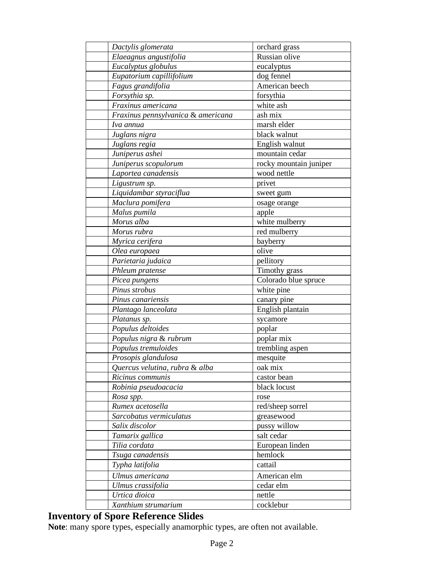| Dactylis glomerata                 | orchard grass          |
|------------------------------------|------------------------|
| Elaeagnus angustifolia             | Russian olive          |
| Eucalyptus globulus                | eucalyptus             |
| Eupatorium capillifolium           | dog fennel             |
| Fagus grandifolia                  | American beech         |
| Forsythia sp.                      | forsythia              |
| Fraxinus americana                 | white ash              |
| Fraxinus pennsylvanica & americana | ash mix                |
| Iva annua                          | marsh elder            |
| Juglans nigra                      | black walnut           |
| Juglans regia                      | English walnut         |
| Juniperus ashei                    | mountain cedar         |
| Juniperus scopulorum               | rocky mountain juniper |
| Laportea canadensis                | wood nettle            |
| Ligustrum sp.                      | privet                 |
| Liquidambar styraciflua            | sweet gum              |
| Maclura pomifera                   | osage orange           |
| Malus pumila                       | apple                  |
| Morus alba                         | white mulberry         |
| Morus rubra                        | red mulberry           |
| Myrica cerifera                    | bayberry               |
| Olea europaea                      | olive                  |
| Parietaria judaica                 | pellitory              |
| Phleum pratense                    | Timothy grass          |
| Picea pungens                      | Colorado blue spruce   |
| Pinus strobus                      | white pine             |
| Pinus canariensis                  | canary pine            |
| Plantago lanceolata                | English plantain       |
| Platanus sp.                       | sycamore               |
| Populus deltoides                  | poplar                 |
| Populus nigra & rubrum             | poplar mix             |
| Populus tremuloides                | trembling aspen        |
| Prosopis glandulosa                | mesquite               |
| Quercus velutina, rubra & alba     | oak mix                |
| Ricinus communis                   | castor bean            |
| Robinia pseudoacacia               | black locust           |
| Rosa spp.                          | rose                   |
| Rumex acetosella                   | red/sheep sorrel       |
| Sarcobatus vermiculatus            | greasewood             |
| Salix discolor                     | pussy willow           |
| Tamarix gallica                    | salt cedar             |
| Tilia cordata                      | European linden        |
| Tsuga canadensis                   | hemlock                |
| Typha latifolia                    | cattail                |
| Ulmus americana                    | American elm           |
| Ulmus crassifolia                  | cedar elm              |
| Urtica dioica                      | nettle                 |
| Xanthium strumarium                | cocklebur              |
|                                    |                        |

### **Inventory of Spore Reference Slides**

**Note**: many spore types, especially anamorphic types, are often not available.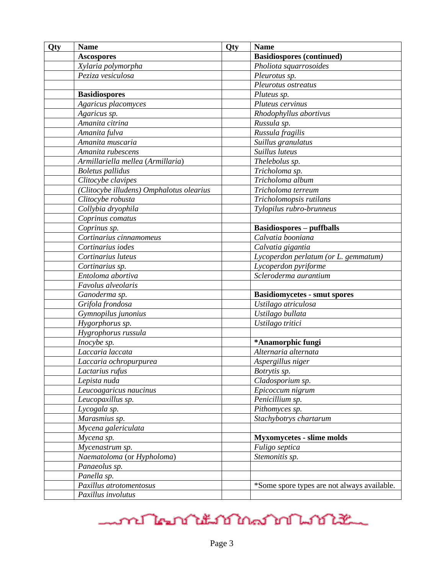| Qty | <b>Name</b>                              | Qty | <b>Name</b>                                 |
|-----|------------------------------------------|-----|---------------------------------------------|
|     | <b>Ascospores</b>                        |     | <b>Basidiospores (continued)</b>            |
|     | Xylaria polymorpha                       |     | Pholiota squarrosoides                      |
|     | Peziza vesiculosa                        |     | Pleurotus sp.                               |
|     |                                          |     | Pleurotus ostreatus                         |
|     | <b>Basidiospores</b>                     |     | Pluteus sp.                                 |
|     | Agaricus placomyces                      |     | Pluteus cervinus                            |
|     | Agaricus sp.                             |     | Rhodophyllus abortivus                      |
|     | Amanita citrina                          |     | Russula sp.                                 |
|     | Amanita fulva                            |     | Russula fragilis                            |
|     | Amanita muscaria                         |     | Suillus granulatus                          |
|     | Amanita rubescens                        |     | Suillus luteus                              |
|     | Armillariella mellea (Armillaria)        |     | Thelebolus sp.                              |
|     | <b>Boletus</b> pallidus                  |     | Tricholoma sp.                              |
|     | Clitocybe clavipes                       |     | Tricholoma album                            |
|     | (Clitocybe illudens) Omphalotus olearius |     | Tricholoma terreum                          |
|     | Clitocybe robusta                        |     | Tricholomopsis rutilans                     |
|     | Collybia dryophila                       |     | Tylopilus rubro-brunneus                    |
|     | Coprinus comatus                         |     |                                             |
|     | Coprinus sp.                             |     | <b>Basidiospores - puffballs</b>            |
|     | Cortinarius cinnamomeus                  |     | Calvatia booniana                           |
|     | Cortinarius iodes                        |     | Calvatia gigantia                           |
|     | Cortinarius luteus                       |     | Lycoperdon perlatum (or L. gemmatum)        |
|     | Cortinarius sp.                          |     | Lycoperdon pyriforme                        |
|     | Entoloma abortiva                        |     | Scleroderma aurantium                       |
|     | Favolus alveolaris                       |     |                                             |
|     | Ganoderma sp.                            |     | <b>Basidiomycetes - smut spores</b>         |
|     | Grifola frondosa                         |     | Ustilago atriculosa                         |
|     | Gymnopilus junonius                      |     | Ustilago bullata                            |
|     | Hygorphorus sp.                          |     | Ustilago tritici                            |
|     | Hygrophorus russula                      |     |                                             |
|     | Inocybe sp.                              |     | *Anamorphic fungi                           |
|     | Laccaria laccata                         |     | Alternaria alternata                        |
|     | Laccaria ochropurpurea                   |     | Aspergillus niger                           |
|     | Lactarius rufus                          |     | Botrytis sp.                                |
|     | Lepista nuda                             |     | Cladosporium sp.                            |
|     | Leucoagaricus naucinus                   |     | Epicoccum nigrum                            |
|     | Leucopaxillus sp.                        |     | Penicillium sp.                             |
|     | Lycogala sp.                             |     | Pithomyces sp.                              |
|     | Marasmius sp.                            |     | Stachybotrys chartarum                      |
|     | Mycena galericulata                      |     |                                             |
|     | Mycena sp.                               |     | <b>Myxomycetes - slime molds</b>            |
|     | Mycenastrum sp.                          |     | Fuligo septica                              |
|     | Naematoloma (or Hypholoma)               |     | Stemonitis sp.                              |
|     | Panaeolus sp.                            |     |                                             |
|     | Panella sp.                              |     |                                             |
|     | Paxillus atrotomentosus                  |     | *Some spore types are not always available. |
|     | Paxillus involutus                       |     |                                             |

# mont learn to the month of the month of the month of the month of the month of the month of the month of the m